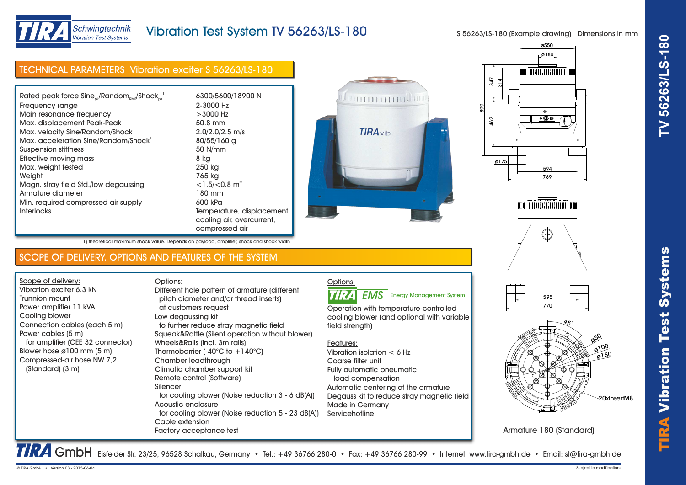



## Schwingtechnik **Vibration Test Systems**

# Vibration Test System TV 56263/LS-180

cooling air, overcurrent,

compressed air

pitch diameter and/or thread inserts)

Different hole pattern of armature (different

 to further reduce stray magnetic field Squeak&Rattle (Silent operation without blower) S 56263/LS-180 (Example drawing) Dimensions in mm

| <b>TECHNICAL PARAMETERS Vibration exciter S 56263/LS-180</b> |                     |
|--------------------------------------------------------------|---------------------|
|                                                              |                     |
| Rated peak force $Sine_{ok}/Random_{RMS}/Shock_{ck}^{-1}$    | 6300/5600/18900 N   |
| Frequency range                                              | 2-3000 Hz           |
| Main resonance frequency                                     | $>3000$ Hz          |
| Max. displacement Peak-Peak                                  | 50.8 mm             |
| Max. velocity Sine/Random/Shock                              | $2.0/2.0/2.5$ m/s   |
| Max. acceleration Sine/Random/Shock                          | 80/55/160 g         |
| Suspension stiffness                                         | 50 N/mm             |
| Effective moving mass                                        | 8 kg                |
| Max. weight tested                                           | 250 kg              |
| Weight                                                       | 765 kg              |
| Magn. stray field Std./low degaussing                        | $<$ 1.5/ $<$ 0.8 mT |
| Armature diameter                                            | 180 mm              |
| Min. required compressed air supply                          | 600 kPa             |

SCOPE OF DELIVERY, OPTIONS AND FEATURES OF THE SYSTEM

Interlocks Temperature, displacement,

1) theoretical maximum shock value. Depends on payload, amplifier, shock and shock width

 at customers request Low degaussing kit

Wheels&Rails (incl. 3m rails) Thermobarrier  $(-40^{\circ}C)$  to  $+140^{\circ}C$ )

Chamber leadthrough Climatic chamber support kit Remote control (Software)

Options:

Silencer

Cable extension

Factory acceptance test



Operation with temperature-controlled cooling blower (and optional with variable

**EMS** Energy Management System

Automatic centering of the armature Degauss kit to reduce stray magnetic field







Armature 180 (Standard)

TRA GmbH Eisfelder Str. 23/25, 96528 Schalkau, Germany • Tel.: +49 36766 280-0 • Fax: +49 36766 280-99 • Internet: www.tira-gmbh.de • Email: st@tira-gmbh.de

field strength)

Coarse filter unit

Made in Germany **Servicehotline** 

Vibration isolation < 6 Hz

Fully automatic pneumatic load compensation

Features:

Options:

**TIRA** 

| for cooling blower (Noise reduction 3 - 6 dB(A))  |
|---------------------------------------------------|
| Acoustic enclosure                                |
| for cooling blower (Noise reduction 5 - 23 dB(A)) |

Scope of delivery: Vibration exciter 6.3 kN Trunnion mount Power amplifier 11 kVA Cooling blower

Power cables (5 m)

(Standard) (3 m)

Connection cables (each 5 m)

 for amplifier (CEE 32 connector) Blower hose ø100 mm (5 m) Compressed-air hose NW 7,2